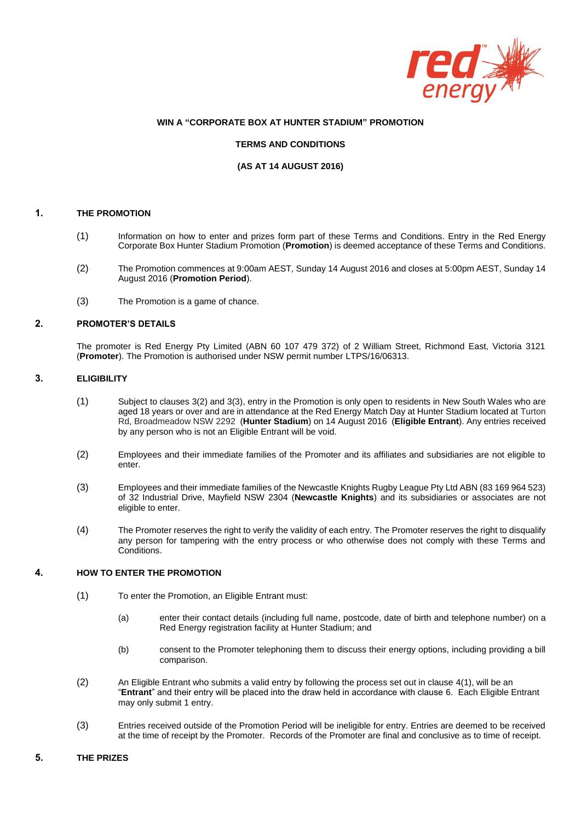

### **WIN A "CORPORATE BOX AT HUNTER STADIUM" PROMOTION**

#### **TERMS AND CONDITIONS**

#### **(AS AT 14 AUGUST 2016)**

#### **1. THE PROMOTION**

- (1) Information on how to enter and prizes form part of these Terms and Conditions. Entry in the Red Energy Corporate Box Hunter Stadium Promotion (**Promotion**) is deemed acceptance of these Terms and Conditions.
- (2) The Promotion commences at 9:00am AEST, Sunday 14 August 2016 and closes at 5:00pm AEST, Sunday 14 August 2016 (**Promotion Period**).
- (3) The Promotion is a game of chance.

#### **2. PROMOTER'S DETAILS**

The promoter is Red Energy Pty Limited (ABN 60 107 479 372) of 2 William Street, Richmond East, Victoria 3121 (**Promoter**). The Promotion is authorised under NSW permit number LTPS/16/06313.

# **3. ELIGIBILITY**

- (1) Subject to clause[s 3\(2\)](#page-0-0) an[d 3\(3\),](#page-0-1) entry in the Promotion is only open to residents in New South Wales who are aged 18 years or over and are in attendance at the Red Energy Match Day at Hunter Stadium located at Turton Rd, Broadmeadow NSW 2292 (**Hunter Stadium**) on 14 August 2016 (**Eligible Entrant**). Any entries received by any person who is not an Eligible Entrant will be void.
- <span id="page-0-0"></span>(2) Employees and their immediate families of the Promoter and its affiliates and subsidiaries are not eligible to enter.
- <span id="page-0-1"></span>(3) Employees and their immediate families of the Newcastle Knights Rugby League Pty Ltd ABN (83 169 964 523) of 32 Industrial Drive, Mayfield NSW 2304 (**Newcastle Knights**) and its subsidiaries or associates are not eligible to enter.
- (4) The Promoter reserves the right to verify the validity of each entry. The Promoter reserves the right to disqualify any person for tampering with the entry process or who otherwise does not comply with these Terms and Conditions.

# <span id="page-0-2"></span>**4. HOW TO ENTER THE PROMOTION**

- (1) To enter the Promotion, an Eligible Entrant must:
	- (a) enter their contact details (including full name, postcode, date of birth and telephone number) on a Red Energy registration facility at Hunter Stadium; and
	- (b) consent to the Promoter telephoning them to discuss their energy options, including providing a bill comparison.
- (2) An Eligible Entrant who submits a valid entry by following the process set out in clause [4\(1\),](#page-0-2) will be an "**Entrant**" and their entry will be placed into the draw held in accordance with claus[e 6.](#page-1-0) Each Eligible Entrant may only submit 1 entry.
- (3) Entries received outside of the Promotion Period will be ineligible for entry. Entries are deemed to be received at the time of receipt by the Promoter. Records of the Promoter are final and conclusive as to time of receipt.

#### **5. THE PRIZES**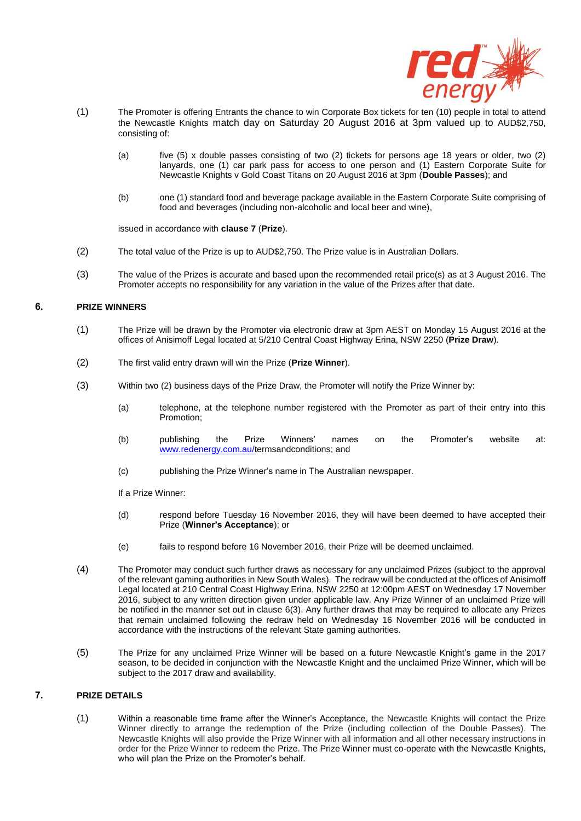

- <span id="page-1-2"></span>(1) The Promoter is offering Entrants the chance to win Corporate Box tickets for ten (10) people in total to attend the Newcastle Knights match day on Saturday 20 August 2016 at 3pm valued up to AUD\$2,750, consisting of:
	- (a) five (5) x double passes consisting of two (2) tickets for persons age 18 years or older, two (2) lanyards, one (1) car park pass for access to one person and (1) Eastern Corporate Suite for Newcastle Knights v Gold Coast Titans on 20 August 2016 at 3pm (**Double Passes**); and
	- (b) one (1) standard food and beverage package available in the Eastern Corporate Suite comprising of food and beverages (including non-alcoholic and local beer and wine),

issued in accordance with **clause 7** (**Prize**).

- (2) The total value of the Prize is up to AUD\$2,750. The Prize value is in Australian Dollars.
- (3) The value of the Prizes is accurate and based upon the recommended retail price(s) as at 3 August 2016. The Promoter accepts no responsibility for any variation in the value of the Prizes after that date.

# <span id="page-1-0"></span>**6. PRIZE WINNERS**

- (1) The Prize will be drawn by the Promoter via electronic draw at 3pm AEST on Monday 15 August 2016 at the offices of Anisimoff Legal located at 5/210 Central Coast Highway Erina, NSW 2250 (**Prize Draw**).
- (2) The first valid entry drawn will win the Prize (**Prize Winner**).
- <span id="page-1-1"></span>(3) Within two (2) business days of the Prize Draw, the Promoter will notify the Prize Winner by:
	- (a) telephone, at the telephone number registered with the Promoter as part of their entry into this Promotion;
	- (b) publishing the Prize Winners' names on the Promoter's website at: [www.redenergy.com.au/](http://www.redenergy.com.au/)termsandconditions; and
	- (c) publishing the Prize Winner's name in The Australian newspaper.
	- If a Prize Winner:
	- (d) respond before Tuesday 16 November 2016, they will have been deemed to have accepted their Prize (**Winner's Acceptance**); or
	- (e) fails to respond before 16 November 2016, their Prize will be deemed unclaimed.
- (4) The Promoter may conduct such further draws as necessary for any unclaimed Prizes (subject to the approval of the relevant gaming authorities in New South Wales). The redraw will be conducted at the offices of Anisimoff Legal located at 210 Central Coast Highway Erina, NSW 2250 at 12:00pm AEST on Wednesday 17 November 2016, subject to any written direction given under applicable law. Any Prize Winner of an unclaimed Prize will be notified in the manner set out in clause [6\(3\).](#page-1-1) Any further draws that may be required to allocate any Prizes that remain unclaimed following the redraw held on Wednesday 16 November 2016 will be conducted in accordance with the instructions of the relevant State gaming authorities.
- (5) The Prize for any unclaimed Prize Winner will be based on a future Newcastle Knight's game in the 2017 season, to be decided in conjunction with the Newcastle Knight and the unclaimed Prize Winner, which will be subject to the 2017 draw and availability.

# **7. PRIZE DETAILS**

(1) Within a reasonable time frame after the Winner's Acceptance, the Newcastle Knights will contact the Prize Winner directly to arrange the redemption of the Prize (including collection of the Double Passes). The Newcastle Knights will also provide the Prize Winner with all information and all other necessary instructions in order for the Prize Winner to redeem the Prize. The Prize Winner must co-operate with the Newcastle Knights, who will plan the Prize on the Promoter's behalf.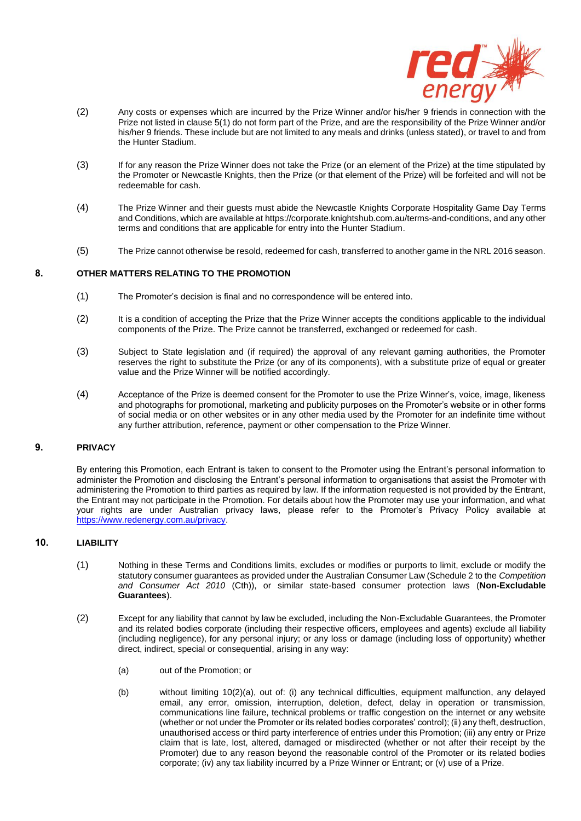

- (2) Any costs or expenses which are incurred by the Prize Winner and/or his/her 9 friends in connection with the Prize not listed in clause [5\(1\)](#page-1-2) do not form part of the Prize, and are the responsibility of the Prize Winner and/or his/her 9 friends. These include but are not limited to any meals and drinks (unless stated), or travel to and from the Hunter Stadium.
- (3) If for any reason the Prize Winner does not take the Prize (or an element of the Prize) at the time stipulated by the Promoter or Newcastle Knights, then the Prize (or that element of the Prize) will be forfeited and will not be redeemable for cash.
- (4) The Prize Winner and their guests must abide the Newcastle Knights Corporate Hospitality Game Day Terms and Conditions, which are available at [https://corporate.knightshub.com.au/terms-and-conditions,](https://corporate.knightshub.com.au/terms-and-conditions) and any other terms and conditions that are applicable for entry into the Hunter Stadium.
- (5) The Prize cannot otherwise be resold, redeemed for cash, transferred to another game in the NRL 2016 season.

#### **8. OTHER MATTERS RELATING TO THE PROMOTION**

- (1) The Promoter's decision is final and no correspondence will be entered into.
- (2) It is a condition of accepting the Prize that the Prize Winner accepts the conditions applicable to the individual components of the Prize. The Prize cannot be transferred, exchanged or redeemed for cash.
- (3) Subject to State legislation and (if required) the approval of any relevant gaming authorities, the Promoter reserves the right to substitute the Prize (or any of its components), with a substitute prize of equal or greater value and the Prize Winner will be notified accordingly.
- (4) Acceptance of the Prize is deemed consent for the Promoter to use the Prize Winner's, voice, image, likeness and photographs for promotional, marketing and publicity purposes on the Promoter's website or in other forms of social media or on other websites or in any other media used by the Promoter for an indefinite time without any further attribution, reference, payment or other compensation to the Prize Winner.

### **9. PRIVACY**

By entering this Promotion, each Entrant is taken to consent to the Promoter using the Entrant's personal information to administer the Promotion and disclosing the Entrant's personal information to organisations that assist the Promoter with administering the Promotion to third parties as required by law. If the information requested is not provided by the Entrant, the Entrant may not participate in the Promotion. For details about how the Promoter may use your information, and what your rights are under Australian privacy laws, please refer to the Promoter's Privacy Policy available at [https://www.redenergy.com.au/privacy.](https://www.redenergy.com.au/privacy)

#### **10. LIABILITY**

- (1) Nothing in these Terms and Conditions limits, excludes or modifies or purports to limit, exclude or modify the statutory consumer guarantees as provided under the Australian Consumer Law (Schedule 2 to the *Competition and Consumer Act 2010* (Cth)), or similar state-based consumer protection laws (**Non-Excludable Guarantees**).
- <span id="page-2-0"></span>(2) Except for any liability that cannot by law be excluded, including the Non-Excludable Guarantees, the Promoter and its related bodies corporate (including their respective officers, employees and agents) exclude all liability (including negligence), for any personal injury; or any loss or damage (including loss of opportunity) whether direct, indirect, special or consequential, arising in any way:
	- (a) out of the Promotion; or
	- (b) without limiting [10\(2\)\(a\),](#page-2-0) out of: (i) any technical difficulties, equipment malfunction, any delayed email, any error, omission, interruption, deletion, defect, delay in operation or transmission, communications line failure, technical problems or traffic congestion on the internet or any website (whether or not under the Promoter or its related bodies corporates' control); (ii) any theft, destruction, unauthorised access or third party interference of entries under this Promotion; (iii) any entry or Prize claim that is late, lost, altered, damaged or misdirected (whether or not after their receipt by the Promoter) due to any reason beyond the reasonable control of the Promoter or its related bodies corporate; (iv) any tax liability incurred by a Prize Winner or Entrant; or (v) use of a Prize.